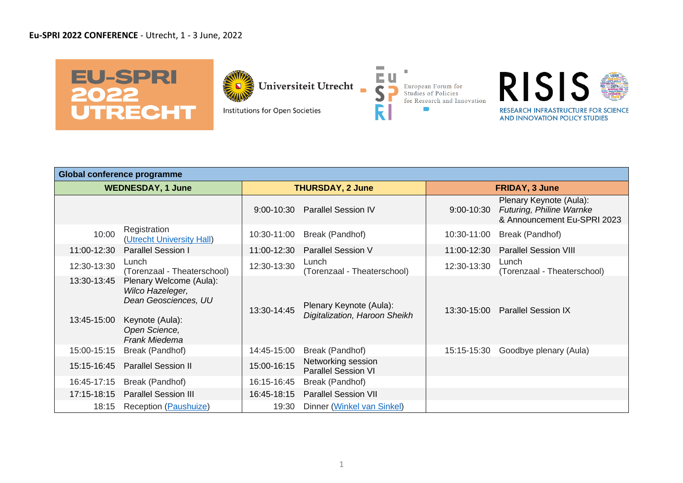## **Eu-SPRI 2022 CONFERENCE** - Utrecht, 1 - 3 June, 2022



Universiteit Utrecht

Institutions for Open Societies



**COL** 



|                            | <b>Global conference programme</b>                                                                                       |                |                                                          |                |                                                                                    |  |  |  |  |  |  |
|----------------------------|--------------------------------------------------------------------------------------------------------------------------|----------------|----------------------------------------------------------|----------------|------------------------------------------------------------------------------------|--|--|--|--|--|--|
|                            | <b>WEDNESDAY, 1 June</b>                                                                                                 |                | <b>THURSDAY, 2 June</b>                                  |                | <b>FRIDAY, 3 June</b>                                                              |  |  |  |  |  |  |
|                            |                                                                                                                          | $9:00 - 10:30$ | <b>Parallel Session IV</b>                               | $9:00 - 10:30$ | Plenary Keynote (Aula):<br>Futuring, Philine Warnke<br>& Announcement Eu-SPRI 2023 |  |  |  |  |  |  |
| 10:00                      | Registration<br>(Utrecht University Hall)                                                                                | 10:30-11:00    | Break (Pandhof)                                          | 10:30-11:00    | Break (Pandhof)                                                                    |  |  |  |  |  |  |
| 11:00-12:30                | <b>Parallel Session I</b>                                                                                                | 11:00-12:30    | <b>Parallel Session V</b>                                | 11:00-12:30    | <b>Parallel Session VIII</b>                                                       |  |  |  |  |  |  |
| 12:30-13:30                | Lunch<br>(Torenzaal - Theaterschool)                                                                                     | 12:30-13:30    | Lunch<br>(Torenzaal - Theaterschool)                     | 12:30-13:30    | Lunch<br>(Torenzaal - Theaterschool)                                               |  |  |  |  |  |  |
| 13:30-13:45<br>13:45-15:00 | Plenary Welcome (Aula):<br>Wilco Hazeleger,<br>Dean Geosciences, UU<br>Keynote (Aula):<br>Open Science,<br>Frank Miedema | 13:30-14:45    | Plenary Keynote (Aula):<br>Digitalization, Haroon Sheikh | 13:30-15:00    | <b>Parallel Session IX</b>                                                         |  |  |  |  |  |  |
| 15:00-15:15                | Break (Pandhof)                                                                                                          | 14:45-15:00    | Break (Pandhof)                                          | 15:15-15:30    | Goodbye plenary (Aula)                                                             |  |  |  |  |  |  |
| 15:15-16:45                | <b>Parallel Session II</b>                                                                                               | 15:00-16:15    | Networking session<br><b>Parallel Session VI</b>         |                |                                                                                    |  |  |  |  |  |  |
| 16:45-17:15                | Break (Pandhof)                                                                                                          | 16:15-16:45    | Break (Pandhof)                                          |                |                                                                                    |  |  |  |  |  |  |
| 17:15-18:15                | <b>Parallel Session III</b>                                                                                              | 16:45-18:15    | <b>Parallel Session VII</b>                              |                |                                                                                    |  |  |  |  |  |  |
| 18:15                      | Reception (Paushuize)                                                                                                    | 19:30          | Dinner (Winkel van Sinkel)                               |                |                                                                                    |  |  |  |  |  |  |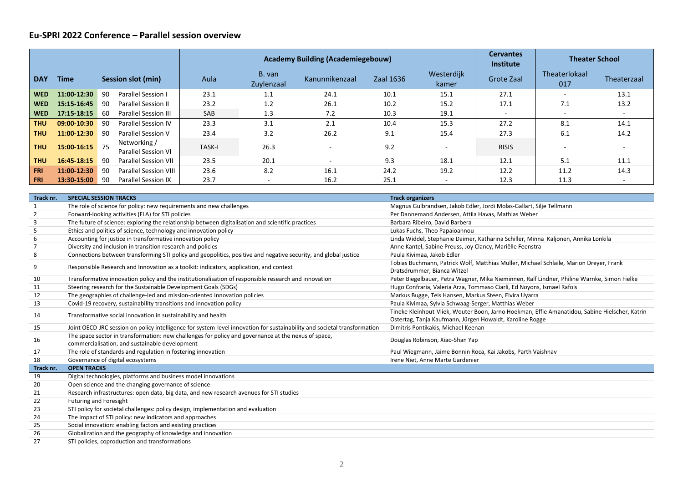## **Eu-SPRI 2022 Conference – Parallel session overview**

|            |             |    |                                            |               |                      | <b>Academy Building (Academiegebouw)</b> |                  | <b>Cervantes</b><br>Institute | <b>Theater School</b> |                          |                          |
|------------|-------------|----|--------------------------------------------|---------------|----------------------|------------------------------------------|------------------|-------------------------------|-----------------------|--------------------------|--------------------------|
| <b>DAY</b> | <b>Time</b> |    | Session slot (min)                         | Aula          | B. van<br>Zuylenzaal | Kanunnikenzaal                           | <b>Zaal 1636</b> | Westerdijk<br>kamer           | Grote Zaal            | Theaterlokaal<br>017     | Theaterzaal              |
| <b>WED</b> | 11:00-12:30 | 90 | Parallel Session I                         | 23.1          | 1.1                  | 24.1                                     | 10.1             | 15.1                          | 27.1                  |                          | 13.1                     |
| <b>WED</b> | 15:15-16:45 | 90 | <b>Parallel Session II</b>                 | 23.2          | 1.2                  | 26.1                                     | 10.2             | 15.2                          | 17.1                  | 7.1                      | 13.2                     |
| <b>WED</b> | 17:15-18:15 | 60 | <b>Parallel Session III</b>                | SAB           | 1.3                  | 7.2                                      | 10.3             | 19.1                          |                       | $\overline{\phantom{a}}$ | $\overline{\phantom{a}}$ |
| <b>THU</b> | 09:00-10:30 | 90 | <b>Parallel Session IV</b>                 | 23.3          | 3.1                  | 2.1                                      | 10.4             | 15.3                          | 27.2                  | 8.1                      | 14.1                     |
| <b>THU</b> | 11:00-12:30 | 90 | <b>Parallel Session V</b>                  | 23.4          | 3.2                  | 26.2                                     | 9.1              | 15.4                          | 27.3                  | 6.1                      | 14.2                     |
| <b>THU</b> | 15:00-16:15 | 75 | Networking /<br><b>Parallel Session VI</b> | <b>TASK-I</b> | 26.3                 |                                          | 9.2              |                               | <b>RISIS</b>          |                          |                          |
| <b>THU</b> | 16:45-18:15 | 90 | <b>Parallel Session VII</b>                | 23.5          | 20.1                 |                                          | 9.3              | 18.1                          | 12.1                  | 5.1                      | 11.1                     |
| <b>FRI</b> | 11:00-12:30 | 90 | <b>Parallel Session VIII</b>               | 23.6          | 8.2                  | 16.1                                     | 24.2             | 19.2                          | 12.2                  | 11.2                     | 14.3                     |
| <b>FRI</b> | 13:30-15:00 | 90 | <b>Parallel Session IX</b>                 | 23.7          |                      | 16.2                                     | 25.1             |                               | 12.3                  | 11.3                     |                          |

| Track nr. | <b>SPECIAL SESSION TRACKS</b>                                                                                            | <b>Track organizers</b>                                                                        |
|-----------|--------------------------------------------------------------------------------------------------------------------------|------------------------------------------------------------------------------------------------|
| -1        | The role of science for policy: new requirements and new challenges                                                      | Magnus Gulbrandsen, Jakob Edler, Jordi Molas-Gallart, Silje Tellmann                           |
| 2         | Forward-looking activities (FLA) for STI policies                                                                        | Per Dannemand Andersen, Attila Havas, Mathias Weber                                            |
| 3         | The future of science: exploring the relationship between digitalisation and scientific practices                        | Barbara Ribeiro, David Barbera                                                                 |
| -5        | Ethics and politics of science, technology and innovation policy                                                         | Lukas Fuchs, Theo Papaioannou                                                                  |
| 6         | Accounting for justice in transformative innovation policy                                                               | Linda Widdel, Stephanie Daimer, Katharina Schiller, Minna Kaljonen, Annika Lonkila             |
| -7        | Diversity and inclusion in transition research and policies                                                              | Anne Kantel, Sabine Preuss, Joy Clancy, Mariëlle Feenstra                                      |
| 8         | Connections between transforming STI policy and geopolitics, positive and negative security, and global justice          | Paula Kivimaa, Jakob Edler                                                                     |
| 9         | Responsible Research and Innovation as a toolkit: indicators, application, and context                                   | Tobias Buchmann, Patrick Wolf, Matthias Müller, Michael Schlaile, Marion Dreyer, Frank         |
|           |                                                                                                                          | Dratsdrummer, Bianca Witzel                                                                    |
| 10        | Transformative innovation policy and the institutionalisation of responsible research and innovation                     | Peter Biegelbauer, Petra Wagner, Mika Nieminnen, Ralf Lindner, Philine Warnke, Simon Fielke    |
| 11        | Steering research for the Sustainable Development Goals (SDGs)                                                           | Hugo Confraria, Valeria Arza, Tommaso Ciarli, Ed Noyons, Ismael Rafols                         |
| 12        | The geographies of challenge-led and mission-oriented innovation policies                                                | Markus Bugge, Teis Hansen, Markus Steen, Elvira Uyarra                                         |
| 13        | Covid-19 recovery, sustainability transitions and innovation policy                                                      | Paula Kivimaa, Sylvia Schwaag-Serger, Matthias Weber                                           |
| 14        | Transformative social innovation in sustainability and health                                                            | Tineke Kleinhout-Vliek, Wouter Boon, Jarno Hoekman, Effie Amanatidou, Sabine Hielscher, Katrin |
|           |                                                                                                                          | Ostertag, Tanja Kaufmann, Jürgen Howaldt, Karoline Rogge                                       |
| 15        | Joint OECD-JRC session on policy intelligence for system-level innovation for sustainability and societal transformation | Dimitris Pontikakis, Michael Keenan                                                            |
| 16        | The space sector in transformation: new challenges for policy and governance at the nexus of space,                      | Douglas Robinson, Xiao-Shan Yap                                                                |
|           | commercialisation, and sustainable development                                                                           |                                                                                                |
| 17        | The role of standards and regulation in fostering innovation                                                             | Paul Wiegmann, Jaime Bonnin Roca, Kai Jakobs, Parth Vaishnav                                   |
| 18        | Governance of digital ecosystems                                                                                         | Irene Niet, Anne Marte Gardenier                                                               |
| Track nr. | <b>OPEN TRACKS</b>                                                                                                       |                                                                                                |
| 19        | Digital technologies, platforms and business model innovations                                                           |                                                                                                |
| 20        | Open science and the changing governance of science                                                                      |                                                                                                |
| 21        | Research infrastructures: open data, big data, and new research avenues for STI studies                                  |                                                                                                |
| 22        | <b>Futuring and Foresight</b>                                                                                            |                                                                                                |
| 23        | STI policy for societal challenges: policy design, implementation and evaluation                                         |                                                                                                |
| 24        | The impact of STI policy: new indicators and approaches                                                                  |                                                                                                |
| 25        | Social innovation: enabling factors and existing practices                                                               |                                                                                                |
| 26        | Globalization and the geography of knowledge and innovation                                                              |                                                                                                |
| 27        | STI policies, coproduction and transformations                                                                           |                                                                                                |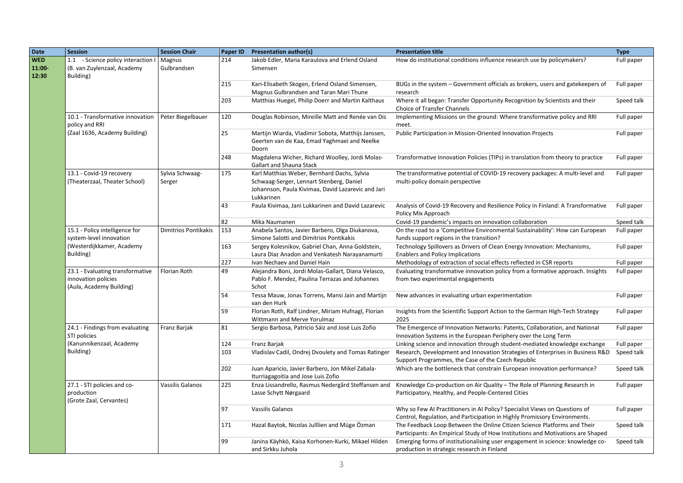| Date                         | Session                                                                             | <b>Session Chair</b>      | Paper ID | <b>Presentation author(s)</b>                                                                                                                               | <b>Presentation title</b>                                                                                                                                   | <b>Type</b> |
|------------------------------|-------------------------------------------------------------------------------------|---------------------------|----------|-------------------------------------------------------------------------------------------------------------------------------------------------------------|-------------------------------------------------------------------------------------------------------------------------------------------------------------|-------------|
| <b>WED</b><br>11:00<br>12:30 | 1.1 - Science policy interaction I<br>(B. van Zuylenzaal, Academy<br>Building)      | Magnus<br>Gulbrandsen     | 214      | Jakob Edler, Maria Karaulova and Erlend Osland<br>Simensen                                                                                                  | How do institutional conditions influence research use by policymakers?                                                                                     | Full paper  |
|                              |                                                                                     |                           | 215      | Kari-Elisabeth Skogen, Erlend Osland Simensen,<br>Magnus Gulbrandsen and Taran Mari Thune                                                                   | BUGs in the system – Government officials as brokers, users and gatekeepers of<br>research                                                                  | Full paper  |
|                              |                                                                                     |                           | 203      | Matthias Huegel, Philip Doerr and Martin Kalthaus                                                                                                           | Where it all began: Transfer Opportunity Recognition by Scientists and their<br>Choice of Transfer Channels                                                 | Speed talk  |
|                              | 10.1 - Transformative innovation<br>policy and RRI                                  | Peter Biegelbauer         | 120      | Douglas Robinson, Mireille Matt and Renée van Dis                                                                                                           | Implementing Missions on the ground: Where transformative policy and RRI<br>meet.                                                                           | Full paper  |
|                              | (Zaal 1636, Academy Building)                                                       |                           | 25       | Martijn Wiarda, Vladimir Sobota, Matthijs Janssen,<br>Geerten van de Kaa, Emad Yaghmaei and Neelke<br>Doorn                                                 | Public Participation in Mission-Oriented Innovation Projects                                                                                                | Full paper  |
|                              |                                                                                     |                           | 248      | Magdalena Wicher, Richard Woolley, Jordi Molas-<br>Gallart and Shauna Stack                                                                                 | Transformative Innovation Policies (TIPs) in translation from theory to practice                                                                            | Full paper  |
|                              | 13.1 - Covid-19 recovery<br>(Theaterzaal, Theater School)                           | Sylvia Schwaag-<br>Serger | 175      | Karl Matthias Weber, Bernhard Dachs, Sylvia<br>Schwaag-Serger, Lennart Stenberg, Daniel<br>Johannson, Paula Kivimaa, David Lazarevic and Jari<br>Lukkarinen | The transformative potential of COVID-19 recovery packages: A multi-level and<br>multi-policy domain perspective                                            | Full paper  |
|                              |                                                                                     |                           | 43       | Paula Kivimaa, Jani Lukkarinen and David Lazarevic                                                                                                          | Analysis of Covid-19 Recovery and Resilience Policy in Finland: A Transformative<br>Policy Mix Approach                                                     | Full paper  |
|                              |                                                                                     |                           | 82       | Mika Naumanen                                                                                                                                               | Covid-19 pandemic's impacts on innovation collaboration                                                                                                     | Speed talk  |
|                              | 15.1 - Policy intelligence for                                                      | Dimitrios Pontikakis      | 153      | Anabela Santos, Javier Barbero, Olga Diukanova,                                                                                                             | On the road to a 'Competitive Environmental Sustainability': How can European                                                                               | Full paper  |
|                              | system-level innovation                                                             |                           |          | Simone Salotti and Dimitrios Pontikakis                                                                                                                     | funds support regions in the transition?                                                                                                                    |             |
|                              | (Westerdijkkamer, Academy                                                           |                           | 163      | Sergey Kolesnikov, Gabriel Chan, Anna Goldstein,                                                                                                            | Technology Spillovers as Drivers of Clean Energy Innovation: Mechanisms,                                                                                    | Full paper  |
|                              | Building)                                                                           |                           |          | Laura Diaz Anadon and Venkatesh Narayanamurti                                                                                                               | <b>Enablers and Policy Implications</b>                                                                                                                     |             |
|                              |                                                                                     |                           | 227      | Ivan Nechaev and Daniel Hain                                                                                                                                | Methodology of extraction of social effects reflected in CSR reports                                                                                        | Full paper  |
|                              | 23.1 - Evaluating transformative<br>innovation policies<br>(Aula, Academy Building) | Florian Roth              | 49       | Alejandra Boni, Jordi Molas-Gallart, Diana Velasco,<br>Pablo F. Mendez, Paulina Terrazas and Johannes<br>Schot                                              | Evaluating transformative innovation policy from a formative approach. Insights<br>from two experimental engagements                                        | Full paper  |
|                              |                                                                                     |                           | 54       | Tessa Mauw, Jonas Torrens, Mansi Jain and Martijn<br>van den Hurk                                                                                           | New advances in evaluating urban experimentation                                                                                                            | Full paper  |
|                              |                                                                                     |                           | 59       | Florian Roth, Ralf Lindner, Miriam Hufnagl, Florian<br>Wittmann and Merve Yorulmaz                                                                          | Insights from the Scientific Support Action to the German High-Tech Strategy<br>2025                                                                        | Full paper  |
|                              | $\overline{24.1}$ - Findings from evaluating<br>STI policies                        | Franz Barjak              | 81       | Sergio Barbosa, Patricio Sáiz and José Luis Zofio                                                                                                           | The Emergence of Innovation Networks: Patents, Collaboration, and National<br>Innovation Systems in the European Periphery over the Long Term               | Full paper  |
|                              | (Kanunnikenzaal, Academy                                                            |                           | 124      | Franz Barjak                                                                                                                                                | Linking science and innovation through student-mediated knowledge exchange                                                                                  | Full paper  |
|                              | Building)                                                                           |                           | 103      | Vladislav Cadil, Ondrej Dvoulety and Tomas Ratinger                                                                                                         | Research, Development and Innovation Strategies of Enterprises in Business R&D<br>Support Programmes, the Case of the Czech Republic                        | Speed talk  |
|                              |                                                                                     |                           | 202      | Juan Aparicio, Javier Barbero, Jon Mikel Zabala-<br>Iturriagagoitia and Jose Luis Zofio                                                                     | Which are the bottleneck that constrain European innovation performance?                                                                                    | Speed talk  |
|                              | 27.1 - STI policies and co-<br>production<br>(Grote Zaal, Cervantes)                | Vassilis Galanos          | 225      | Enza Lissandrello, Rasmus Nedergård Steffansen and<br>Lasse Schytt Nørgaard                                                                                 | Knowledge Co-production on Air Quality - The Role of Planning Research in<br>Participatory, Healthy, and People-Centered Cities                             | Full paper  |
|                              |                                                                                     |                           | 97       | Vassilis Galanos                                                                                                                                            | Why so Few AI Practitioners in AI Policy? Specialist Views on Questions of<br>Control, Regulation, and Participation in Highly Promissory Environments.     | Full paper  |
|                              |                                                                                     |                           | 171      | Hazal Baytok, Nicolas Julllien and Müge Özman                                                                                                               | The Feedback Loop Between the Online Citizen Science Platforms and Their<br>Participants: An Empirical Study of How Institutions and Motivations are Shaped | Speed talk  |
|                              |                                                                                     |                           | 99       | Janina Käyhkö, Kaisa Korhonen-Kurki, Mikael Hilden<br>and Sirkku Juhola                                                                                     | Emerging forms of institutionalising user engagement in science: knowledge co-<br>production in strategic research in Finland                               | Speed talk  |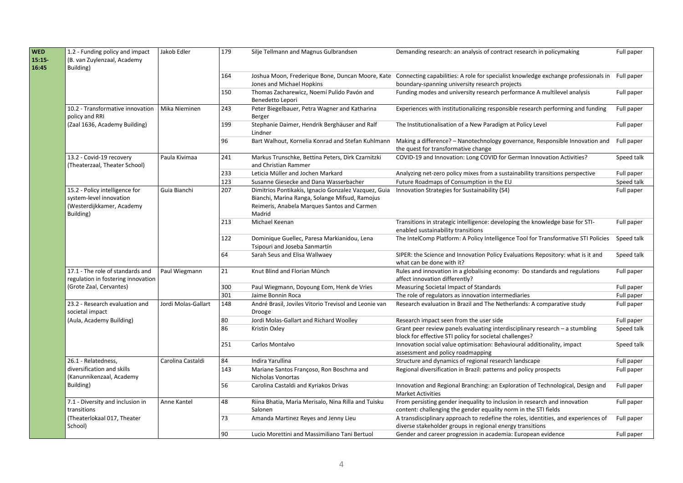| <b>WED</b><br>15:15<br>16:45 | 1.2 - Funding policy and impact<br>(B. van Zuylenzaal, Academy<br>Building)                         | Jakob Edler         | 179 | Silje Tellmann and Magnus Gulbrandsen                                                                                                                           | Demanding research: an analysis of contract research in policymaking                                                                                                                  | Full paper |
|------------------------------|-----------------------------------------------------------------------------------------------------|---------------------|-----|-----------------------------------------------------------------------------------------------------------------------------------------------------------------|---------------------------------------------------------------------------------------------------------------------------------------------------------------------------------------|------------|
|                              |                                                                                                     |                     | 164 | Jones and Michael Hopkins                                                                                                                                       | Joshua Moon, Frederique Bone, Duncan Moore, Kate Connecting capabilities: A role for specialist knowledge exchange professionals in<br>boundary-spanning university research projects | Full paper |
|                              |                                                                                                     |                     | 150 | Thomas Zacharewicz, Noemí Pulido Pavón and<br>Benedetto Lepori                                                                                                  | Funding modes and university research performance A multilevel analysis                                                                                                               | Full paper |
|                              | 10.2 - Transformative innovation<br>policy and RRI                                                  | Mika Nieminen       | 243 | Peter Biegelbauer, Petra Wagner and Katharina<br>Berger                                                                                                         | Experiences with institutionalizing responsible research performing and funding                                                                                                       | Full paper |
|                              | (Zaal 1636, Academy Building)                                                                       |                     | 199 | Stephanie Daimer, Hendrik Berghäuser and Ralf<br>Lindner                                                                                                        | The Institutionalisation of a New Paradigm at Policy Level                                                                                                                            | Full paper |
|                              |                                                                                                     |                     | 96  | Bart Walhout, Kornelia Konrad and Stefan Kuhlmann                                                                                                               | Making a difference? - Nanotechnology governance, Responsible Innovation and<br>the quest for transformative change                                                                   | Full paper |
|                              | 13.2 - Covid-19 recovery<br>(Theaterzaal, Theater School)                                           | Paula Kivimaa       | 241 | Markus Trunschke, Bettina Peters, Dirk Czarnitzki<br>and Christian Rammer                                                                                       | COVID-19 and Innovation: Long COVID for German Innovation Activities?                                                                                                                 | Speed talk |
|                              |                                                                                                     |                     | 233 | Leticia Müller and Jochen Markard                                                                                                                               | Analyzing net-zero policy mixes from a sustainability transitions perspective                                                                                                         | Full paper |
|                              |                                                                                                     |                     | 123 | Susanne Giesecke and Dana Wasserbacher                                                                                                                          | Future Roadmaps of Consumption in the EU                                                                                                                                              | Speed talk |
|                              | 15.2 - Policy intelligence for<br>system-level innovation<br>(Westerdijkkamer, Academy<br>Building) | Guia Bianchi        | 207 | Dimitrios Pontikakis, Ignacio Gonzalez Vazquez, Guia<br>Bianchi, Marina Ranga, Solange Mifsud, Ramojus<br>Reimeris, Anabela Marques Santos and Carmen<br>Madrid | Innovation Strategies for Sustainability (S4)                                                                                                                                         | Full paper |
|                              |                                                                                                     |                     | 213 | Michael Keenan                                                                                                                                                  | Transitions in strategic intelligence: developing the knowledge base for STI-<br>enabled sustainability transitions                                                                   | Full paper |
|                              |                                                                                                     |                     | 122 | Dominique Guellec, Paresa Markianidou, Lena<br>Tsipouri and Joseba Sanmartín                                                                                    | The IntelComp Platform: A Policy Intelligence Tool for Transformative STI Policies                                                                                                    | Speed talk |
|                              |                                                                                                     |                     | 64  | Sarah Seus and Elisa Wallwaey                                                                                                                                   | SIPER: the Science and Innovation Policy Evaluations Repository: what is it and<br>what can be done with it?                                                                          | Speed talk |
|                              | 17.1 - The role of standards and<br>regulation in fostering innovation                              | Paul Wiegmann       | 21  | Knut Blind and Florian Münch                                                                                                                                    | Rules and innovation in a globalising economy: Do standards and regulations<br>affect innovation differently?                                                                         | Full paper |
|                              | (Grote Zaal, Cervantes)                                                                             |                     | 300 | Paul Wiegmann, Doyoung Eom, Henk de Vries                                                                                                                       | Measuring Societal Impact of Standards                                                                                                                                                | Full paper |
|                              |                                                                                                     |                     | 301 | Jaime Bonnin Roca                                                                                                                                               | The role of regulators as innovation intermediaries                                                                                                                                   | Full paper |
|                              | 23.2 - Research evaluation and<br>societal impact                                                   | Jordi Molas-Gallart | 148 | André Brasil, Joviles Vitorio Trevisol and Leonie van<br>Drooge                                                                                                 | Research evaluation in Brazil and The Netherlands: A comparative study                                                                                                                | Full paper |
|                              | (Aula, Academy Building)                                                                            |                     | 80  | Jordi Molas-Gallart and Richard Woolley                                                                                                                         | Research impact seen from the user side                                                                                                                                               | Full paper |
|                              |                                                                                                     |                     | 86  | Kristin Oxley                                                                                                                                                   | Grant peer review panels evaluating interdisciplinary research - a stumbling<br>block for effective STI policy for societal challenges?                                               | Speed talk |
|                              |                                                                                                     |                     | 251 | Carlos Montalvo                                                                                                                                                 | Innovation social value optimisation: Behavioural additionality, impact<br>assessment and policy roadmapping                                                                          | Speed talk |
|                              | 26.1 - Relatedness,                                                                                 | Carolina Castaldi   | 84  | Indira Yarullina                                                                                                                                                | Structure and dynamics of regional research landscape                                                                                                                                 | Full paper |
|                              | diversification and skills<br>(Kanunnikenzaal, Academy                                              |                     | 143 | Mariane Santos Françoso, Ron Boschma and<br>Nicholas Vonortas                                                                                                   | Regional diversification in Brazil: patterns and policy prospects                                                                                                                     | Full paper |
|                              | Building)                                                                                           |                     | 56  | Carolina Castaldi and Kyriakos Drivas                                                                                                                           | Innovation and Regional Branching: an Exploration of Technological, Design and<br><b>Market Activities</b>                                                                            | Full paper |
|                              | 7.1 - Diversity and inclusion in<br>transitions                                                     | Anne Kantel         | 48  | Riina Bhatia, Maria Merisalo, Nina Rilla and Tuisku<br>Salonen                                                                                                  | From persisting gender inequality to inclusion in research and innovation<br>content: challenging the gender equality norm in the STI fields                                          | Full paper |
|                              | (Theaterlokaal 017, Theater<br>School)                                                              |                     | 73  | Amanda Martinez Reyes and Jenny Lieu                                                                                                                            | A transdisciplinary approach to redefine the roles, identities, and experiences of<br>diverse stakeholder groups in regional energy transitions                                       | Full paper |
|                              |                                                                                                     |                     | 90  | Lucio Morettini and Massimiliano Tani Bertuol                                                                                                                   | Gender and career progression in academia: European evidence                                                                                                                          | Full paper |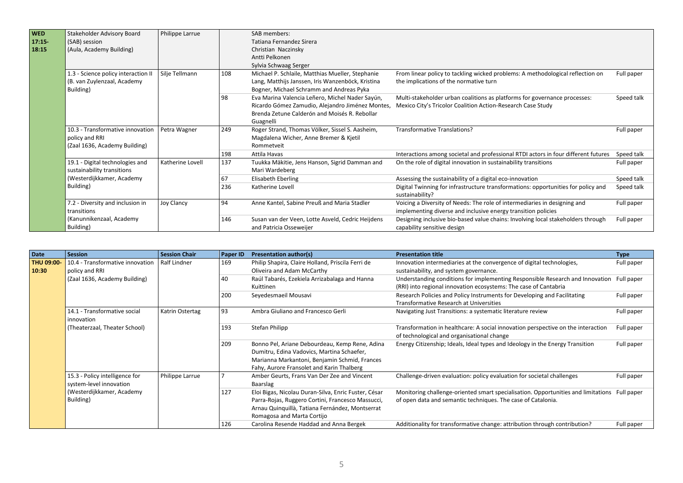| <b>WED</b><br>17:15<br>18:15 | Stakeholder Advisory Board<br>(SAB) session<br>(Aula, Academy Building)             | Philippe Larrue   |     | SAB members:<br>Tatiana Fernandez Sirera<br>Christian Naczinsky<br>Antti Pelkonen                                                                                 |                                                                                                                                            |            |                                                                              |
|------------------------------|-------------------------------------------------------------------------------------|-------------------|-----|-------------------------------------------------------------------------------------------------------------------------------------------------------------------|--------------------------------------------------------------------------------------------------------------------------------------------|------------|------------------------------------------------------------------------------|
|                              |                                                                                     |                   |     | Sylvia Schwaag Serger                                                                                                                                             |                                                                                                                                            |            |                                                                              |
|                              | 1.3 - Science policy interaction II<br>(B. van Zuylenzaal, Academy<br>Building)     | Silje Tellmann    | 108 | Michael P. Schlaile, Matthias Mueller, Stephanie<br>Lang, Matthijs Janssen, Iris Wanzenböck, Kristina<br>Bogner, Michael Schramm and Andreas Pyka                 | From linear policy to tackling wicked problems: A methodological reflection on<br>the implications of the normative turn                   | Full paper |                                                                              |
|                              |                                                                                     |                   | 98  | Eva Marina Valencia Leñero, Michel Nader Sayún,<br>Ricardo Gómez Zamudio, Alejandro Jiménez Montes,<br>Brenda Zetune Calderón and Moisés R. Rebollar<br>Guagnelli | Multi-stakeholder urban coalitions as platforms for governance processes:<br>Mexico City's Tricolor Coalition Action-Research Case Study   | Speed talk |                                                                              |
|                              | 10.3 - Transformative innovation<br>policy and RRI<br>(Zaal 1636, Academy Building) | Petra Wagner      | 249 | Roger Strand, Thomas Völker, Sissel S. Aasheim,<br>Magdalena Wicher, Anne Bremer & Kjetil<br>Rommetveit                                                           | Transformative Translations?                                                                                                               | Full paper |                                                                              |
|                              |                                                                                     |                   | 198 | Attila Havas                                                                                                                                                      | Interactions among societal and professional RTDI actors in four different futures                                                         | Speed talk |                                                                              |
|                              | 19.1 - Digital technologies and<br>sustainability transitions                       | Katherine Lovell  | 137 | Tuukka Mäkitie, Jens Hanson, Sigrid Damman and<br>Mari Wardeberg                                                                                                  | On the role of digital innovation in sustainability transitions                                                                            | Full paper |                                                                              |
|                              | (Westerdijkkamer, Academy                                                           |                   | 67  | Elisabeth Eberling                                                                                                                                                | Assessing the sustainability of a digital eco-innovation                                                                                   | Speed talk |                                                                              |
|                              | Building)                                                                           |                   | 236 | Katherine Lovell                                                                                                                                                  | Digital Twinning for infrastructure transformations: opportunities for policy and<br>sustainability?                                       | Speed talk |                                                                              |
|                              | 7.2 - Diversity and inclusion in<br>transitions                                     | <b>Joy Clancy</b> | 94  | Anne Kantel, Sabine Preuß and Maria Stadler                                                                                                                       | Voicing a Diversity of Needs: The role of intermediaries in designing and<br>implementing diverse and inclusive energy transition policies | Full paper |                                                                              |
|                              | (Kanunnikenzaal, Academy<br>Building)                                               |                   |     |                                                                                                                                                                   |                                                                                                                                            | 146        | Susan van der Veen, Lotte Asveld, Cedric Heijdens<br>and Patricia Osseweijer |

| Date                       | <b>Session</b>                                            | <b>Session Chair</b> | Paper ID | <b>Presentation author(s)</b>                                                                                                                                                              | <b>Presentation title</b>                                                                                                                                    | <b>Type</b> |
|----------------------------|-----------------------------------------------------------|----------------------|----------|--------------------------------------------------------------------------------------------------------------------------------------------------------------------------------------------|--------------------------------------------------------------------------------------------------------------------------------------------------------------|-------------|
| <b>THU 09:00-</b><br>10:30 | 10.4 - Transformative innovation<br>policy and RRI        | Ralf Lindner         | 169      | Philip Shapira, Claire Holland, Priscila Ferri de<br>Oliveira and Adam McCarthy                                                                                                            | Innovation intermediaries at the convergence of digital technologies,<br>sustainability, and system governance.                                              | Full paper  |
|                            | (Zaal 1636, Academy Building)                             |                      | 40       | Raúl Tabarés, Ezekiela Arrizabalaga and Hanna<br>Kuittinen                                                                                                                                 | Understanding conditions for implementing Responsible Research and Innovation<br>(RRI) into regional innovation ecosystems: The case of Cantabria            | Full paper  |
|                            |                                                           |                      | 200      | Seyedesmaeil Mousavi                                                                                                                                                                       | Research Policies and Policy Instruments for Developing and Facilitating<br>Transformative Research at Universities                                          | Full paper  |
|                            | 14.1 - Transformative social<br>innovation                | Katrin Ostertag      | 93       | Ambra Giuliano and Francesco Gerli                                                                                                                                                         | Navigating Just Transitions: a systematic literature review                                                                                                  | Full paper  |
|                            | (Theaterzaal, Theater School)                             |                      | 193      | Stefan Philipp                                                                                                                                                                             | Transformation in healthcare: A social innovation perspective on the interaction<br>of technological and organisational change                               | Full paper  |
|                            |                                                           |                      | 209      | Bonno Pel, Ariane Debourdeau, Kemp Rene, Adina<br>Dumitru, Edina Vadovics, Martina Schaefer,<br>Marianna Markantoni, Benjamin Schmid, Frances<br>Fahy, Aurore Fransolet and Karin Thalberg | Energy Citizenship; Ideals, Ideal types and Ideology in the Energy Transition                                                                                | Full paper  |
|                            | 15.3 - Policy intelligence for<br>system-level innovation | Philippe Larrue      |          | Amber Geurts, Frans Van Der Zee and Vincent<br>Baarslag                                                                                                                                    | Challenge-driven evaluation: policy evaluation for societal challenges                                                                                       | Full paper  |
|                            | (Westerdijkkamer, Academy<br>Building)                    | 127                  |          | Eloi Bigas, Nicolau Duran-Silva, Enric Fuster, César<br>Parra-Rojas, Ruggero Cortini, Francesco Massucci,<br>Arnau Quinquillà, Tatiana Fernández, Montserrat<br>Romagosa and Marta Cortijo | Monitoring challenge-oriented smart specialisation. Opportunities and limitations Full paper<br>of open data and semantic techniques. The case of Catalonia. |             |
|                            |                                                           |                      | 126      | Carolina Resende Haddad and Anna Bergek                                                                                                                                                    | Additionality for transformative change: attribution through contribution?                                                                                   | Full paper  |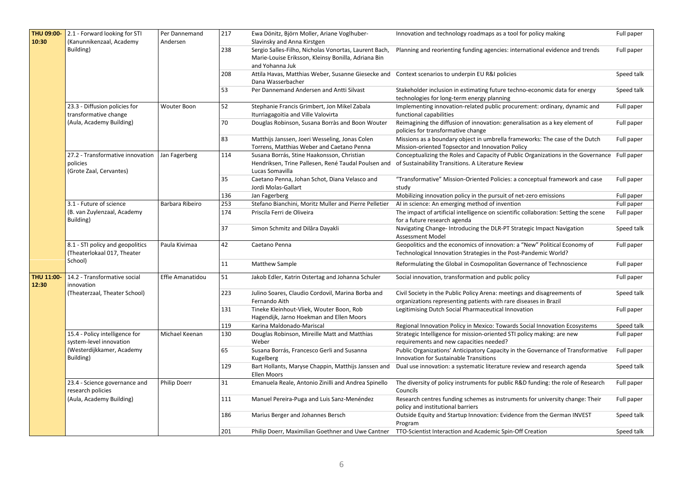| THU 09:00-          | 2.1 - Forward looking for STI                                           | Per Dannemand       | 217 | Ewa Dönitz, Björn Moller, Ariane Voglhuber-                                                                           | Innovation and technology roadmaps as a tool for policy making                                                                                    | Full paper                                                                           |            |
|---------------------|-------------------------------------------------------------------------|---------------------|-----|-----------------------------------------------------------------------------------------------------------------------|---------------------------------------------------------------------------------------------------------------------------------------------------|--------------------------------------------------------------------------------------|------------|
| 10:30               | (Kanunnikenzaal, Academy                                                | Andersen            |     | Slavinsky and Anna Kirstgen                                                                                           |                                                                                                                                                   |                                                                                      |            |
|                     | Building)                                                               |                     | 238 | Sergio Salles-Filho, Nicholas Vonortas, Laurent Bach,<br>Marie-Louise Eriksson, Kleinsy Bonilla, Adriana Bin          | Planning and reorienting funding agencies: international evidence and trends                                                                      | Full paper                                                                           |            |
|                     |                                                                         |                     |     | and Yohanna Juk                                                                                                       |                                                                                                                                                   |                                                                                      |            |
|                     |                                                                         |                     | 208 | Attila Havas, Matthias Weber, Susanne Giesecke and Context scenarios to underpin EU R&I policies<br>Dana Wasserbacher |                                                                                                                                                   | Speed talk                                                                           |            |
|                     |                                                                         |                     | 53  | Per Dannemand Andersen and Antti Silvast                                                                              | Stakeholder inclusion in estimating future techno-economic data for energy<br>technologies for long-term energy planning                          | Speed talk                                                                           |            |
|                     | 23.3 - Diffusion policies for<br>transformative change                  | <b>Wouter Boon</b>  | 52  | Stephanie Francis Grimbert, Jon Mikel Zabala<br>Iturriagagoitia and Ville Valovirta                                   | Implementing innovation-related public procurement: ordinary, dynamic and<br>functional capabilities                                              | Full paper                                                                           |            |
|                     | (Aula, Academy Building)                                                |                     | 70  | Douglas Robinson, Susana Borràs and Boon Wouter                                                                       | Reimagining the diffusion of innovation: generalisation as a key element of<br>policies for transformative change                                 | Full paper                                                                           |            |
|                     |                                                                         |                     | 83  | Matthijs Janssen, Joeri Wesseling, Jonas Colen<br>Torrens, Matthias Weber and Caetano Penna                           | Missions as a boundary object in umbrella frameworks: The case of the Dutch<br>Mission-oriented Topsector and Innovation Policy                   | Full paper                                                                           |            |
|                     | 27.2 - Transformative innovation<br>policies<br>(Grote Zaal, Cervantes) | Jan Fagerberg       | 114 | Susana Borrás, Stine Haakonsson, Christian<br>Hendriksen, Trine Pallesen, René Taudal Poulsen and<br>Lucas Somavilla  | Conceptualizing the Roles and Capacity of Public Organizations in the Governance Full paper<br>of Sustainability Transitions. A Literature Review |                                                                                      |            |
|                     |                                                                         |                     |     | 35                                                                                                                    | Caetano Penna, Johan Schot, Diana Velasco and<br>Jordi Molas-Gallart                                                                              | "Transformative" Mission-Oriented Policies: a conceptual framework and case<br>study | Full paper |
|                     |                                                                         |                     | 136 | Jan Fagerberg                                                                                                         | Mobilizing innovation policy in the pursuit of net-zero emissions                                                                                 | Full paper                                                                           |            |
|                     | 3.1 - Future of science                                                 | Barbara Ribeiro     | 253 | Stefano Bianchini, Moritz Muller and Pierre Pelletier                                                                 | AI in science: An emerging method of invention                                                                                                    | Full paper                                                                           |            |
|                     | (B. van Zuylenzaal, Academy                                             |                     | 174 | Priscila Ferri de Oliveira                                                                                            | The impact of artificial intelligence on scientific collaboration: Setting the scene                                                              | Full paper                                                                           |            |
|                     | Building)                                                               |                     |     |                                                                                                                       | for a future research agenda                                                                                                                      |                                                                                      |            |
|                     |                                                                         |                     | 37  | Simon Schmitz and Dilâra Dayakli                                                                                      | Navigating Change-Introducing the DLR-PT Strategic Impact Navigation<br>Assessment Model                                                          | Speed talk                                                                           |            |
|                     | 8.1 - STI policy and geopolitics<br>Theaterlokaal 017, Theater          | Paula Kivimaa       | 42  | Caetano Penna                                                                                                         | Geopolitics and the economics of innovation: a "New" Political Economy of<br>Technological Innovation Strategies in the Post-Pandemic World?      | Full paper                                                                           |            |
|                     | School)                                                                 |                     | 11  | Matthew Sample                                                                                                        | Reformulating the Global in Cosmopolitan Governance of Technoscience                                                                              | Full paper                                                                           |            |
| THU 11:00-<br>12:30 | 14.2 - Transformative social<br>innovation                              | Effie Amanatidou    | 51  | Jakob Edler, Katrin Ostertag and Johanna Schuler                                                                      | Social innovation, transformation and public policy                                                                                               | Full paper                                                                           |            |
|                     | (Theaterzaal, Theater School)                                           |                     | 223 | Julino Soares, Claudio Cordovil, Marina Borba and<br>Fernando Aith                                                    | Civil Society in the Public Policy Arena: meetings and disagreements of<br>organizations representing patients with rare diseases in Brazil       | Speed talk                                                                           |            |
|                     |                                                                         |                     | 131 | Tineke Kleinhout-Vliek, Wouter Boon, Rob<br>Hagendijk, Jarno Hoekman and Ellen Moors                                  | Legitimising Dutch Social Pharmaceutical Innovation                                                                                               | Full paper                                                                           |            |
|                     |                                                                         |                     | 119 | Karina Maldonado-Mariscal                                                                                             | Regional Innovation Policy in Mexico: Towards Social Innovation Ecosystems                                                                        | Speed talk                                                                           |            |
|                     | 15.4 - Policy intelligence for<br>system-level innovation               | Michael Keenan      | 130 | Douglas Robinson, Mireille Matt and Matthias<br>Weber                                                                 | Strategic Intelligence for mission-oriented STI policy making: are new<br>requirements and new capacities needed?                                 | Full paper                                                                           |            |
|                     | (Westerdijkkamer, Academy<br>Building)                                  |                     | 65  | Susana Borrás, Francesco Gerli and Susanna<br>Kugelberg                                                               | Public Organizations' Anticipatory Capacity in the Governance of Transformative<br>Innovation for Sustainable Transitions                         | Full paper                                                                           |            |
|                     |                                                                         |                     | 129 | Bart Hollants, Maryse Chappin, Matthijs Janssen and<br><b>Ellen Moors</b>                                             | Dual use innovation: a systematic literature review and research agenda                                                                           | Speed talk                                                                           |            |
|                     | 23.4 - Science governance and<br>research policies                      | <b>Philip Doerr</b> | 31  | Emanuela Reale, Antonio Zinilli and Andrea Spinello                                                                   | The diversity of policy instruments for public R&D funding: the role of Research<br>Councils                                                      | Full paper                                                                           |            |
|                     | (Aula, Academy Building)                                                |                     | 111 | Manuel Pereira-Puga and Luis Sanz-Menéndez                                                                            | Research centres funding schemes as instruments for university change: Their<br>policy and institutional barriers                                 | Full paper                                                                           |            |
|                     |                                                                         |                     | 186 | Marius Berger and Johannes Bersch                                                                                     | Outside Equity and Startup Innovation: Evidence from the German INVEST<br>Program                                                                 | Speed talk                                                                           |            |
|                     |                                                                         |                     | 201 |                                                                                                                       | Philip Doerr, Maximilian Goethner and Uwe Cantner TTO-Scientist Interaction and Academic Spin-Off Creation                                        | Speed talk                                                                           |            |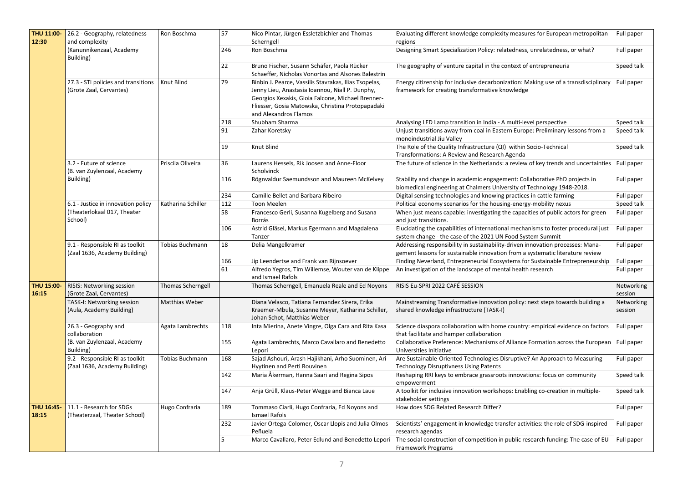| THU 11:00-                 | 26.2 - Geography, relatedness                                               | Ron Boschma            | 57              | Nico Pintar, Jürgen Essletzbichler and Thomas                                                                                                                                                                                               | Evaluating different knowledge complexity measures for European metropolitan Full paper                                                                               |                       |
|----------------------------|-----------------------------------------------------------------------------|------------------------|-----------------|---------------------------------------------------------------------------------------------------------------------------------------------------------------------------------------------------------------------------------------------|-----------------------------------------------------------------------------------------------------------------------------------------------------------------------|-----------------------|
| 12:30                      | and complexity                                                              |                        |                 | Scherngell                                                                                                                                                                                                                                  | regions                                                                                                                                                               |                       |
|                            | (Kanunnikenzaal, Academy<br>Building)                                       |                        | 246             | Ron Boschma                                                                                                                                                                                                                                 | Designing Smart Specialization Policy: relatedness, unrelatedness, or what?                                                                                           | Full paper            |
|                            |                                                                             |                        | $\overline{22}$ | Bruno Fischer, Susann Schäfer, Paola Rücker<br>Schaeffer, Nicholas Vonortas and Alsones Balestrin                                                                                                                                           | The geography of venture capital in the context of entrepreneuria                                                                                                     | Speed talk            |
|                            | 27.3 - STI policies and transitions<br>(Grote Zaal, Cervantes)              | Knut Blind             | 79              | Binbin J. Pearce, Vassilis Stavrakas, Ilias Tsopelas,<br>Jenny Lieu, Anastasia Ioannou, Niall P. Dunphy,<br>Georgios Xexakis, Gioia Falcone, Michael Brenner-<br>Fliesser, Gosia Matowska, Christina Protopapadaki<br>and Alexandros Flamos | Energy citizenship for inclusive decarbonization: Making use of a transdisciplinary Full paper<br>framework for creating transformative knowledge                     |                       |
|                            |                                                                             |                        | 218             | Shubham Sharma                                                                                                                                                                                                                              | Analysing LED Lamp transition in India - A multi-level perspective                                                                                                    | Speed talk            |
|                            |                                                                             |                        | 91              | Zahar Koretsky                                                                                                                                                                                                                              | Unjust transitions away from coal in Eastern Europe: Preliminary lessons from a<br>monoindustrial Jiu Valley                                                          | Speed talk            |
|                            |                                                                             |                        | 19              | Knut Blind                                                                                                                                                                                                                                  | The Role of the Quality Infrastructure (QI) within Socio-Technical<br>Transformations: A Review and Research Agenda                                                   | Speed talk            |
|                            | 3.2 - Future of science<br>(B. van Zuylenzaal, Academy                      | Priscila Oliveira      | 36              | Laurens Hessels, Rik Joosen and Anne-Floor<br>Scholvinck                                                                                                                                                                                    | The future of science in the Netherlands: a review of key trends and uncertainties Full paper                                                                         |                       |
|                            | Building)                                                                   |                        | 116             | Rögnvaldur Saemundsson and Maureen McKelvey                                                                                                                                                                                                 | Stability and change in academic engagement: Collaborative PhD projects in<br>biomedical engineering at Chalmers University of Technology 1948-2018.                  | Full paper            |
|                            |                                                                             |                        | 234             | Camille Bellet and Barbara Ribeiro                                                                                                                                                                                                          | Digital sensing technologies and knowing practices in cattle farming                                                                                                  | Full paper            |
|                            | 6.1 - Justice in innovation policy<br>Theaterlokaal 017, Theater<br>School) | Katharina Schiller     | 112             | <b>Toon Meelen</b>                                                                                                                                                                                                                          | Political economy scenarios for the housing-energy-mobility nexus                                                                                                     | Speed talk            |
|                            |                                                                             |                        | 58              | Francesco Gerli, Susanna Kugelberg and Susana<br>Borrás                                                                                                                                                                                     | When just means capable: investigating the capacities of public actors for green<br>and just transitions.                                                             | Full paper            |
|                            |                                                                             |                        | 106             | Astrid Gläsel, Markus Egermann and Magdalena<br>Tanzer                                                                                                                                                                                      | Elucidating the capabilities of international mechanisms to foster procedural just Full paper<br>system change - the case of the 2021 UN Food System Summit           |                       |
|                            | 9.1 - Responsible RI as toolkit<br>(Zaal 1636, Academy Building)            | <b>Tobias Buchmann</b> | 18              | Delia Mangelkramer                                                                                                                                                                                                                          | Addressing responsibility in sustainability-driven innovation processes: Mana-<br>gement lessons for sustainable innovation from a systematic literature review       | Full paper            |
|                            |                                                                             |                        | 166             | Jip Leendertse and Frank van Rijnsoever                                                                                                                                                                                                     | Finding Neverland, Entrepreneurial Ecosystems for Sustainable Entrepreneurship                                                                                        | Full paper            |
|                            |                                                                             |                        | 61              | Alfredo Yegros, Tim Willemse, Wouter van de Klippe<br>and Ismael Rafols                                                                                                                                                                     | An investigation of the landscape of mental health research                                                                                                           | Full paper            |
| <b>THU 15:00-</b><br>16:15 | RISIS: Networking session<br>(Grote Zaal, Cervantes)                        | Thomas Scherngell      |                 | Thomas Scherngell, Emanuela Reale and Ed Noyons                                                                                                                                                                                             | RISIS Eu-SPRI 2022 CAFÉ SESSION                                                                                                                                       | Networking<br>session |
|                            | TASK-I: Networking session<br>(Aula, Academy Building)                      | <b>Matthias Weber</b>  |                 | Diana Velasco, Tatiana Fernandez Sirera, Erika<br>Kraemer-Mbula, Susanne Meyer, Katharina Schiller,<br>Johan Schot, Matthias Weber                                                                                                          | Mainstreaming Transformative innovation policy: next steps towards building a<br>shared knowledge infrastructure (TASK-I)                                             | Networking<br>session |
|                            | 26.3 - Geography and<br>collaboration                                       | Agata Lambrechts       | 118             | Inta Mierina, Anete Vingre, Olga Cara and Rita Kasa                                                                                                                                                                                         | Science diaspora collaboration with home country: empirical evidence on factors<br>that facilitate and hamper collaboration                                           | Full paper            |
|                            | (B. van Zuylenzaal, Academy<br>Building)                                    |                        | 155             | Agata Lambrechts, Marco Cavallaro and Benedetto<br>Lepori                                                                                                                                                                                   | Collaborative Preference: Mechanisms of Alliance Formation across the European Full paper<br>Universities Initiative                                                  |                       |
|                            | 9.2 - Responsible RI as toolkit<br>(Zaal 1636, Academy Building)            | <b>Tobias Buchmann</b> | 168             | Sajad Ashouri, Arash Hajikhani, Arho Suominen, Ari<br>Hyytinen and Perti Rouvinen                                                                                                                                                           | Are Sustainable-Oriented Technologies Disruptive? An Approach to Measuring<br><b>Technology Disruptivness Using Patents</b>                                           | Full paper            |
|                            |                                                                             |                        | 142             | Maria Åkerman, Hanna Saari and Regina Sipos                                                                                                                                                                                                 | Reshaping RRI keys to embrace grassroots innovations: focus on community<br>empowerment                                                                               | Speed talk            |
|                            |                                                                             |                        | 147             | Anja Grüll, Klaus-Peter Wegge and Bianca Laue                                                                                                                                                                                               | A toolkit for inclusive innovation workshops: Enabling co-creation in multiple-<br>stakeholder settings                                                               | Speed talk            |
| THU 16:45<br>18:15         | 11.1 - Research for SDGs<br>(Theaterzaal, Theater School)                   | Hugo Confraria         | 189             | Tommaso Ciarli, Hugo Confraria, Ed Noyons and<br>Ismael Rafols                                                                                                                                                                              | How does SDG Related Research Differ?                                                                                                                                 | Full paper            |
|                            |                                                                             |                        | 232             | Javier Ortega-Colomer, Oscar Llopis and Julia Olmos<br>Peñuela                                                                                                                                                                              | Scientists' engagement in knowledge transfer activities: the role of SDG-inspired<br>research agendas                                                                 | Full paper            |
|                            |                                                                             |                        | 5               |                                                                                                                                                                                                                                             | Marco Cavallaro, Peter Edlund and Benedetto Lepori The social construction of competition in public research funding: The case of EU Full paper<br>Framework Programs |                       |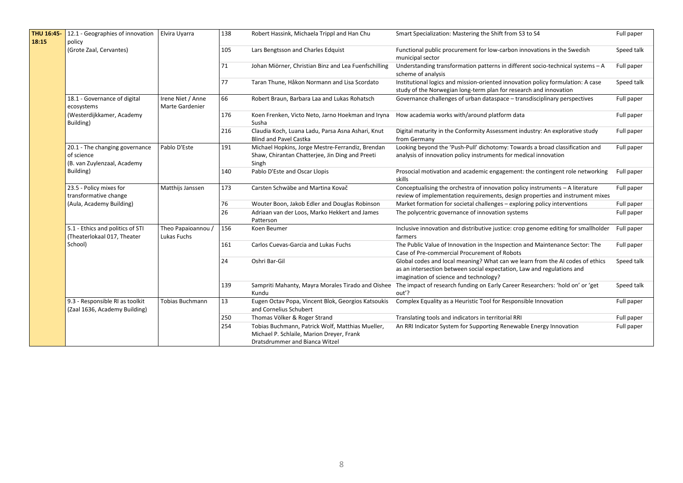| THU 16:45-<br>18:15 | 12.1 - Geographies of innovation<br>policy                                   | Elvira Uyarra                               | 138 | Robert Hassink, Michaela Trippl and Han Chu                                                                                     | Smart Specialization: Mastering the Shift from S3 to S4                                                                                                                                           | Full paper |
|---------------------|------------------------------------------------------------------------------|---------------------------------------------|-----|---------------------------------------------------------------------------------------------------------------------------------|---------------------------------------------------------------------------------------------------------------------------------------------------------------------------------------------------|------------|
|                     | (Grote Zaal, Cervantes)                                                      |                                             | 105 | Lars Bengtsson and Charles Edquist                                                                                              | Functional public procurement for low-carbon innovations in the Swedish<br>municipal sector                                                                                                       | Speed talk |
|                     |                                                                              |                                             | 71  | Johan Miörner, Christian Binz and Lea Fuenfschilling                                                                            | Understanding transformation patterns in different socio-technical systems - A<br>scheme of analysis                                                                                              | Full paper |
|                     |                                                                              |                                             | 77  | Taran Thune, Håkon Normann and Lisa Scordato                                                                                    | Institutional logics and mission-oriented innovation policy formulation: A case<br>study of the Norwegian long-term plan for research and innovation                                              | Speed talk |
|                     | 18.1 - Governance of digital<br>ecosystems                                   | Irene Niet / Anne<br><b>Marte Gardenier</b> | 66  | Robert Braun, Barbara Laa and Lukas Rohatsch                                                                                    | Governance challenges of urban dataspace - transdisciplinary perspectives                                                                                                                         | Full paper |
|                     | (Westerdijkkamer, Academy<br>Building)                                       |                                             | 176 | Koen Frenken, Victo Neto, Jarno Hoekman and Iryna<br>Susha                                                                      | How academia works with/around platform data                                                                                                                                                      | Full paper |
|                     |                                                                              |                                             | 216 | Claudia Koch, Luana Ladu, Parsa Asna Ashari, Knut<br><b>Blind and Pavel Castka</b>                                              | Digital maturity in the Conformity Assessment industry: An explorative study<br>from Germany                                                                                                      | Full paper |
|                     | 20.1 - The changing governance<br>of science<br>(B. van Zuylenzaal, Academy  | Pablo D'Este                                | 191 | Michael Hopkins, Jorge Mestre-Ferrandiz, Brendan<br>Shaw, Chirantan Chatterjee, Jin Ding and Preeti<br>Singh                    | Looking beyond the 'Push-Pull' dichotomy: Towards a broad classification and<br>analysis of innovation policy instruments for medical innovation                                                  | Full paper |
|                     | Building)                                                                    |                                             | 140 | Pablo D'Este and Oscar Llopis                                                                                                   | Prosocial motivation and academic engagement: the contingent role networking<br>skills                                                                                                            | Full paper |
|                     | 23.5 - Policy mixes for<br>transformative change<br>(Aula, Academy Building) | Matthijs Janssen                            | 173 | Carsten Schwäbe and Martina Kovač                                                                                               | Conceptualising the orchestra of innovation policy instruments - A literature<br>review of implementation requirements, design properties and instrument mixes                                    | Full paper |
|                     |                                                                              |                                             | 76  | Wouter Boon, Jakob Edler and Douglas Robinson                                                                                   | Market formation for societal challenges - exploring policy interventions                                                                                                                         | Full paper |
|                     |                                                                              |                                             | 26  | Adriaan van der Loos, Marko Hekkert and James<br>Patterson                                                                      | The polycentric governance of innovation systems                                                                                                                                                  | Full paper |
|                     | 5.1 - Ethics and politics of STI<br>(Theaterlokaal 017, Theater              | Theo Papaioannou /<br>Lukas Fuchs           | 156 | Koen Beumer                                                                                                                     | Inclusive innovation and distributive justice: crop genome editing for smallholder<br>farmers                                                                                                     | Full paper |
|                     | School)                                                                      |                                             | 161 | Carlos Cuevas-Garcia and Lukas Fuchs                                                                                            | The Public Value of Innovation in the Inspection and Maintenance Sector: The<br>Case of Pre-commercial Procurement of Robots                                                                      | Full paper |
|                     |                                                                              |                                             | 24  | Oshri Bar-Gil                                                                                                                   | Global codes and local meaning? What can we learn from the AI codes of ethics<br>as an intersection between social expectation, Law and regulations and<br>imagination of science and technology? | Speed talk |
|                     |                                                                              |                                             | 139 | Sampriti Mahanty, Mayra Morales Tirado and Oishee<br>Kundu                                                                      | The impact of research funding on Early Career Researchers: 'hold on' or 'get<br>out'?                                                                                                            | Speed talk |
|                     | 9.3 - Responsible RI as toolkit<br>(Zaal 1636, Academy Building)             | <b>Tobias Buchmann</b>                      | 13  | Eugen Octav Popa, Vincent Blok, Georgios Katsoukis<br>and Cornelius Schubert                                                    | Complex Equality as a Heuristic Tool for Responsible Innovation                                                                                                                                   | Full paper |
|                     |                                                                              |                                             | 250 | Thomas Völker & Roger Strand                                                                                                    | Translating tools and indicators in territorial RRI                                                                                                                                               | Full paper |
|                     |                                                                              |                                             | 254 | Tobias Buchmann, Patrick Wolf, Matthias Mueller,<br>Michael P. Schlaile, Marion Dreyer, Frank<br>Dratsdrummer and Bianca Witzel | An RRI Indicator System for Supporting Renewable Energy Innovation                                                                                                                                | Full paper |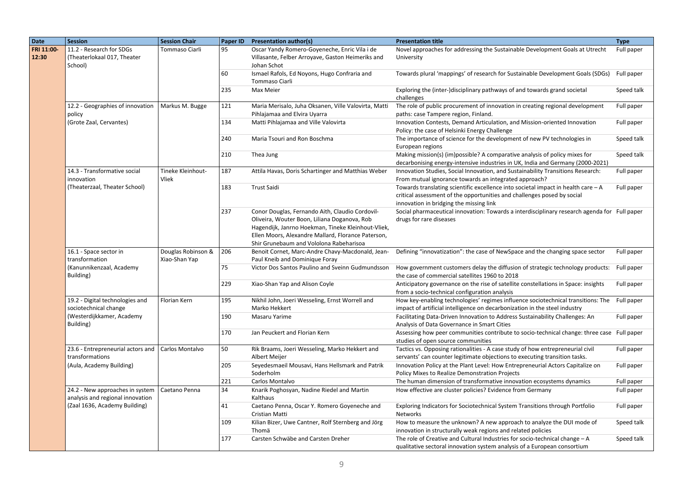| <b>Date</b>         | <b>Session</b>                                                                    | <b>Session Chair</b>                | Paper ID | <b>Presentation author(s)</b>                                                                                                                                                                                                                          | <b>Presentation title</b>                                                                                                                                                                                 | <b>Type</b> |
|---------------------|-----------------------------------------------------------------------------------|-------------------------------------|----------|--------------------------------------------------------------------------------------------------------------------------------------------------------------------------------------------------------------------------------------------------------|-----------------------------------------------------------------------------------------------------------------------------------------------------------------------------------------------------------|-------------|
| FRI 11:00-<br>12:30 | 11.2 - Research for SDGs<br>(Theaterlokaal 017, Theater<br>School)                | Tommaso Ciarli                      | 95       | Oscar Yandy Romero-Goyeneche, Enric Vila i de<br>Villasante, Felber Arroyave, Gaston Heimeriks and<br>Johan Schot                                                                                                                                      | Novel approaches for addressing the Sustainable Development Goals at Utrecht<br>University                                                                                                                | Full paper  |
|                     |                                                                                   |                                     | 60       | Ismael Rafols, Ed Noyons, Hugo Confraria and<br>Tommaso Ciarli                                                                                                                                                                                         | Towards plural 'mappings' of research for Sustainable Development Goals (SDGs)                                                                                                                            | Full paper  |
|                     |                                                                                   |                                     | 235      | Max Meier                                                                                                                                                                                                                                              | Exploring the (inter-)disciplinary pathways of and towards grand societal<br>challenges                                                                                                                   | Speed talk  |
|                     | 12.2 - Geographies of innovation<br>policy<br>(Grote Zaal, Cervantes)             | Markus M. Bugge                     | 121      | Maria Merisalo, Juha Oksanen, Ville Valovirta, Matti<br>Pihlajamaa and Elvira Uyarra                                                                                                                                                                   | The role of public procurement of innovation in creating regional development<br>paths: case Tampere region, Finland.                                                                                     | Full paper  |
|                     |                                                                                   |                                     | 134      | Matti Pihlajamaa and Ville Valovirta                                                                                                                                                                                                                   | Innovation Contests, Demand Articulation, and Mission-oriented Innovation<br>Policy: the case of Helsinki Energy Challenge                                                                                | Full paper  |
|                     |                                                                                   |                                     | 240      | Maria Tsouri and Ron Boschma                                                                                                                                                                                                                           | The importance of science for the development of new PV technologies in<br>European regions                                                                                                               | Speed talk  |
|                     |                                                                                   |                                     | 210      | Thea Jung                                                                                                                                                                                                                                              | Making mission(s) (im)possible? A comparative analysis of policy mixes for<br>decarbonising energy-intensive industries in UK, India and Germany (2000-2021)                                              | Speed talk  |
|                     | 14.3 - Transformative social<br>innovation                                        | Tineke Kleinhout-<br>Vliek          | 187      | Attila Havas, Doris Schartinger and Matthias Weber                                                                                                                                                                                                     | Innovation Studies, Social Innovation, and Sustainability Transitions Research:<br>From mutual ignorance towards an integrated approach?                                                                  | Full paper  |
|                     | (Theaterzaal, Theater School)                                                     |                                     | 183      | <b>Trust Saidi</b>                                                                                                                                                                                                                                     | Towards translating scientific excellence into societal impact in health care $-$ A<br>critical assessment of the opportunities and challenges posed by social<br>innovation in bridging the missing link | Full paper  |
|                     |                                                                                   |                                     | 237      | Conor Douglas, Fernando Aith, Claudio Cordovil-<br>Oliveira, Wouter Boon, Liliana Doganova, Rob<br>Hagendijk, Janrno Hoekman, Tineke Kleinhout-Vliek,<br>Ellen Moors, Alexandre Mallard, Florance Paterson,<br>Shir Grunebaum and Vololona Rabeharisoa | Social pharmaceutical innovation: Towards a interdisciplinary research agenda for Full paper<br>drugs for rare diseases                                                                                   |             |
|                     | 16.1 - Space sector in<br>transformation<br>(Kanunnikenzaal, Academy<br>Building) | Douglas Robinson &<br>Xiao-Shan Yap | 206      | Benoit Cornet, Marc-Andre Chavy-Macdonald, Jean-<br>Paul Kneib and Dominique Foray                                                                                                                                                                     | Defining "innovatization": the case of NewSpace and the changing space sector                                                                                                                             | Full paper  |
|                     |                                                                                   |                                     | 75       | Victor Dos Santos Paulino and Sveinn Gudmundsson                                                                                                                                                                                                       | How government customers delay the diffusion of strategic technology products: Full paper<br>the case of commercial satellites 1960 to 2018                                                               |             |
|                     |                                                                                   |                                     | 229      | Xiao-Shan Yap and Alison Coyle                                                                                                                                                                                                                         | Anticipatory governance on the rise of satellite constellations in Space: insights<br>from a socio-technical configuration analysis                                                                       | Full paper  |
|                     | 19.2 - Digital technologies and<br>sociotechnical change                          | Florian Kern                        | 195      | Nikhil John, Joeri Wesseling, Ernst Worrell and<br>Marko Hekkert                                                                                                                                                                                       | How key-enabling technologies' regimes influence sociotechnical transitions: The<br>impact of artificial intelligence on decarbonization in the steel industry                                            | Full paper  |
|                     | (Westerdijkkamer, Academy<br>Building)                                            |                                     | 190      | Masaru Yarime                                                                                                                                                                                                                                          | Facilitating Data-Driven Innovation to Address Sustainability Challenges: An<br>Analysis of Data Governance in Smart Cities                                                                               | Full paper  |
|                     |                                                                                   |                                     | 170      | Jan Peuckert and Florian Kern                                                                                                                                                                                                                          | Assessing how peer communities contribute to socio-technical change: three case Full paper<br>studies of open source communities                                                                          |             |
|                     | 23.6 - Entrepreneurial actors and Carlos Montalvo<br>transformations              |                                     | 50       | Rik Braams, Joeri Wesseling, Marko Hekkert and<br>Albert Meijer                                                                                                                                                                                        | Tactics vs. Opposing rationalities - A case study of how entrepreneurial civil<br>servants' can counter legitimate objections to executing transition tasks.                                              | Full paper  |
|                     | (Aula, Academy Building)                                                          |                                     | 205      | Seyedesmaeil Mousavi, Hans Hellsmark and Patrik<br>Soderholm                                                                                                                                                                                           | Innovation Policy at the Plant Level: How Entrepreneurial Actors Capitalize on<br>Policy Mixes to Realize Demonstration Projects                                                                          | Full paper  |
|                     |                                                                                   |                                     | 221      | Carlos Montalvo                                                                                                                                                                                                                                        | The human dimension of transformative innovation ecosystems dynamics                                                                                                                                      | Full paper  |
|                     | 24.2 - New approaches in system<br>analysis and regional innovation               | Caetano Penna                       | 34       | Knarik Poghosyan, Nadine Riedel and Martin<br>Kalthaus                                                                                                                                                                                                 | How effective are cluster policies? Evidence from Germany                                                                                                                                                 | Full paper  |
|                     | (Zaal 1636, Academy Building)                                                     |                                     | 41       | Caetano Penna, Oscar Y. Romero Goyeneche and<br>Cristian Matti                                                                                                                                                                                         | Exploring Indicators for Sociotechnical System Transitions through Portfolio<br>Networks                                                                                                                  | Full paper  |
|                     |                                                                                   |                                     | 109      | Kilian Bizer, Uwe Cantner, Rolf Sternberg and Jörg<br>Thomä                                                                                                                                                                                            | How to measure the unknown? A new approach to analyze the DUI mode of<br>innovation in structurally weak regions and related policies                                                                     | Speed talk  |
|                     |                                                                                   |                                     | 177      | Carsten Schwäbe and Carsten Dreher                                                                                                                                                                                                                     | The role of Creative and Cultural Industries for socio-technical change - A<br>qualitative sectoral innovation system analysis of a European consortium                                                   | Speed talk  |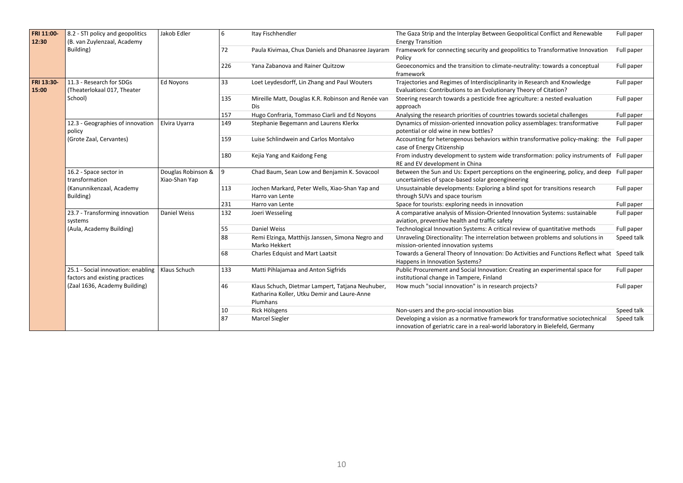| FRI 11:00- | 8.2 - STI policy and geopolitics   | Jakob Edler        | 6   | Itay Fischhendler                                  | The Gaza Strip and the Interplay Between Geopolitical Conflict and Renewable                | Full paper |
|------------|------------------------------------|--------------------|-----|----------------------------------------------------|---------------------------------------------------------------------------------------------|------------|
| 12:30      | (B. van Zuylenzaal, Academy        |                    |     |                                                    | <b>Energy Transition</b>                                                                    |            |
|            | Building)                          |                    | 72  | Paula Kivimaa, Chux Daniels and Dhanasree Jayaram  | Framework for connecting security and geopolitics to Transformative Innovation              | Full paper |
|            |                                    |                    |     |                                                    | Policy                                                                                      |            |
|            |                                    |                    | 226 | Yana Zabanova and Rainer Quitzow                   | Geoeconomics and the transition to climate-neutrality: towards a conceptual                 | Full paper |
|            |                                    |                    |     |                                                    | framework                                                                                   |            |
| FRI 13:30  | 11.3 - Research for SDGs           | <b>Ed Novons</b>   | 33  | Loet Leydesdorff, Lin Zhang and Paul Wouters       | Trajectories and Regimes of Interdisciplinarity in Research and Knowledge                   | Full paper |
| 15:00      | (Theaterlokaal 017, Theater        |                    |     |                                                    | Evaluations: Contributions to an Evolutionary Theory of Citation?                           |            |
|            | School)                            |                    | 135 | Mireille Matt, Douglas K.R. Robinson and Renée van | Steering research towards a pesticide free agriculture: a nested evaluation                 | Full paper |
|            |                                    |                    |     | Dis.                                               | approach                                                                                    |            |
|            |                                    |                    | 157 | Hugo Confraria, Tommaso Ciarli and Ed Noyons       | Analysing the research priorities of countries towards societal challenges                  | Full paper |
|            | 12.3 - Geographies of innovation   | Elvira Uyarra      | 149 | Stephanie Begemann and Laurens Klerkx              | Dynamics of mission-oriented innovation policy assemblages: transformative                  | Full paper |
|            | policy                             |                    |     |                                                    | potential or old wine in new bottles?                                                       |            |
|            | (Grote Zaal, Cervantes)            |                    | 159 | Luise Schlindwein and Carlos Montalvo              | Accounting for heterogenous behaviors within transformative policy-making: the Full paper   |            |
|            |                                    |                    |     |                                                    | case of Energy Citizenship                                                                  |            |
|            |                                    |                    | 180 | Kejia Yang and Kaidong Feng                        | From industry development to system wide transformation: policy instruments of Full paper   |            |
|            |                                    |                    |     |                                                    | RE and EV development in China                                                              |            |
|            | 16.2 - Space sector in             | Douglas Robinson & | 9   | Chad Baum, Sean Low and Benjamin K. Sovacool       | Between the Sun and Us: Expert perceptions on the engineering, policy, and deep Full paper  |            |
|            | transformation                     | Xiao-Shan Yap      |     |                                                    | uncertainties of space-based solar geoengineering                                           |            |
|            | (Kanunnikenzaal, Academy           |                    | 113 | Jochen Markard, Peter Wells, Xiao-Shan Yap and     | Unsustainable developments: Exploring a blind spot for transitions research                 | Full paper |
|            | Building)                          |                    |     | Harro van Lente                                    | through SUVs and space tourism                                                              |            |
|            |                                    |                    | 231 | Harro van Lente                                    | Space for tourists: exploring needs in innovation                                           | Full paper |
|            | 23.7 - Transforming innovation     | Daniel Weiss       | 132 | Joeri Wesseling                                    | A comparative analysis of Mission-Oriented Innovation Systems: sustainable                  | Full paper |
|            | systems                            |                    |     |                                                    | aviation, preventive health and traffic safety                                              |            |
|            | (Aula, Academy Building)           |                    | 55  | Daniel Weiss                                       | Technological Innovation Systems: A critical review of quantitative methods                 | Full paper |
|            |                                    |                    | 88  | Remi Elzinga, Matthijs Janssen, Simona Negro and   | Unraveling Directionality: The interrelation between problems and solutions in              | Speed talk |
|            |                                    |                    |     | Marko Hekkert                                      | mission-oriented innovation systems                                                         |            |
|            |                                    |                    | 68  | Charles Edquist and Mart Laatsit                   | Towards a General Theory of Innovation: Do Activities and Functions Reflect what Speed talk |            |
|            |                                    |                    |     |                                                    | Happens in Innovation Systems?                                                              |            |
|            | 25.1 - Social innovation: enabling | Klaus Schuch       | 133 | Matti Pihlajamaa and Anton Sigfrids                | Public Procurement and Social Innovation: Creating an experimental space for                | Full paper |
|            | factors and existing practices     |                    |     |                                                    | institutional change in Tampere, Finland                                                    |            |
|            | (Zaal 1636, Academy Building)      |                    | 46  | Klaus Schuch, Dietmar Lampert, Tatjana Neuhuber,   | How much "social innovation" is in research projects?                                       | Full paper |
|            |                                    |                    |     | Katharina Koller, Utku Demir and Laure-Anne        |                                                                                             |            |
|            |                                    |                    |     | Plumhans                                           |                                                                                             |            |
|            |                                    |                    | 10  | Rick Hölsgens                                      | Non-users and the pro-social innovation bias                                                | Speed talk |
|            |                                    |                    | 87  | <b>Marcel Siegler</b>                              | Developing a vision as a normative framework for transformative sociotechnical              | Speed talk |
|            |                                    |                    |     |                                                    | innovation of geriatric care in a real-world laboratory in Bielefeld, Germany               |            |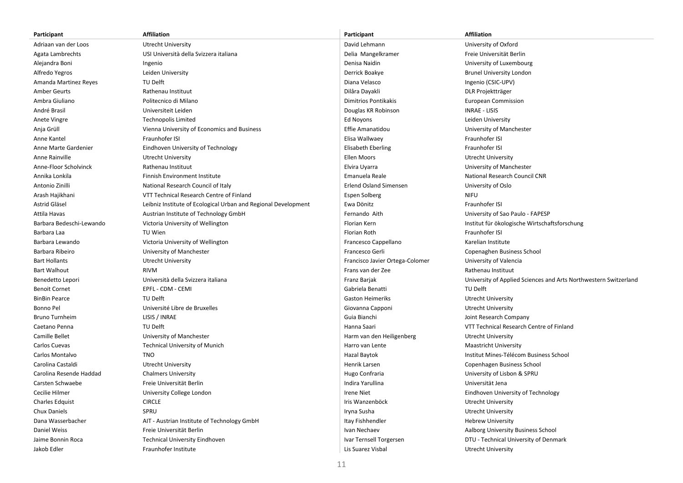| Participant              | <b>Affiliation</b>                                             | Participant                     | <b>Affiliation</b>                                               |
|--------------------------|----------------------------------------------------------------|---------------------------------|------------------------------------------------------------------|
| Adriaan van der Loos     | Utrecht University                                             | David Lehmann                   | University of Oxford                                             |
| Agata Lambrechts         | USI Università della Svizzera italiana                         | Delia Mangelkramer              | Freie Universität Berlin                                         |
| Alejandra Boni           | Ingenio                                                        | Denisa Naidin                   | University of Luxembourg                                         |
| Alfredo Yegros           | Leiden University                                              | Derrick Boakye                  | <b>Brunel University London</b>                                  |
| Amanda Martinez Reyes    | TU Delft                                                       | Diana Velasco                   | Ingenio (CSIC-UPV)                                               |
| <b>Amber Geurts</b>      | Rathenau Instituut                                             | Dilâra Dayakli                  | DLR Projektträger                                                |
| Ambra Giuliano           | Politecnico di Milano                                          | <b>Dimitrios Pontikakis</b>     | <b>European Commission</b>                                       |
| André Brasil             | Universiteit Leiden                                            | Douglas KR Robinson             | <b>INRAE - LISIS</b>                                             |
| Anete Vingre             | Technopolis Limited                                            | Ed Noyons                       | Leiden University                                                |
| Anja Grüll               | Vienna University of Economics and Business                    | Effie Amanatidou                | University of Manchester                                         |
| Anne Kantel              | Fraunhofer ISI                                                 | Elisa Wallwaey                  | Fraunhofer ISI                                                   |
| Anne Marte Gardenier     | Eindhoven University of Technology                             | Elisabeth Eberling              | Fraunhofer ISI                                                   |
| Anne Rainville           | <b>Utrecht University</b>                                      | Ellen Moors                     | Utrecht University                                               |
| Anne-Floor Scholvinck    | Rathenau Instituut                                             | Elvira Uyarra                   | University of Manchester                                         |
| Annika Lonkila           | Finnish Environment Institute                                  | Emanuela Reale                  | National Research Council CNR                                    |
| Antonio Zinilli          | National Research Council of Italy                             | <b>Erlend Osland Simensen</b>   | University of Oslo                                               |
| Arash Hajikhani          | VTT Technical Research Centre of Finland                       | <b>Espen Solberg</b>            | <b>NIFU</b>                                                      |
| Astrid Gläsel            | Leibniz Institute of Ecological Urban and Regional Development | Ewa Dönitz                      | Fraunhofer ISI                                                   |
| Attila Havas             | Austrian Institute of Technology GmbH                          | Fernando Aith                   | University of Sao Paulo - FAPESP                                 |
| Barbara Bedeschi-Lewando | Victoria University of Wellington                              | Florian Kern                    | Institut für ökologische Wirtschaftsforschung                    |
| Barbara Laa              | TU Wien                                                        | Florian Roth                    | Fraunhofer ISI                                                   |
| Barbara Lewando          | Victoria University of Wellington                              | Francesco Cappellano            | Karelian Institute                                               |
| Barbara Ribeiro          | University of Manchester                                       | Francesco Gerli                 | Copenaghen Business School                                       |
| <b>Bart Hollants</b>     | <b>Utrecht University</b>                                      | Francisco Javier Ortega-Colomer | University of Valencia                                           |
| <b>Bart Walhout</b>      | <b>RIVM</b>                                                    | Frans van der Zee               | Rathenau Instituut                                               |
| Benedetto Lepori         | Università della Svizzera italiana                             | Franz Barjak                    | University of Applied Sciences and Arts Northwestern Switzerland |
| <b>Benoit Cornet</b>     | EPFL - CDM - CEMI                                              | Gabriela Benatti                | TU Delft                                                         |
| <b>BinBin Pearce</b>     | TU Delft                                                       | <b>Gaston Heimeriks</b>         | Utrecht University                                               |
| Bonno Pel                | Université Libre de Bruxelles                                  | Giovanna Capponi                | Utrecht University                                               |
| <b>Bruno Turnheim</b>    | LISIS / INRAE                                                  | Guia Bianchi                    | Joint Research Company                                           |
| Caetano Penna            | TU Delft                                                       | Hanna Saari                     | VTT Technical Research Centre of Finland                         |
| Camille Bellet           | University of Manchester                                       | Harm van den Heiligenberg       | Utrecht University                                               |
| Carlos Cuevas            | <b>Technical University of Munich</b>                          | Harro van Lente                 | Maastricht University                                            |
| Carlos Montalvo          | <b>TNO</b>                                                     | Hazal Baytok                    | Institut Mines-Télécom Business School                           |
| Carolina Castaldi        | Utrecht University                                             | Henrik Larsen                   | Copenhagen Business School                                       |
| Carolina Resende Haddad  | <b>Chalmers University</b>                                     | Hugo Confraria                  | University of Lisbon & SPRU                                      |
| Carsten Schwaebe         | Freie Universität Berlin                                       | Indira Yarullina                | Universität Jena                                                 |
| Cecilie Hilmer           | University College London                                      | <b>Irene Niet</b>               | Eindhoven University of Technology                               |
| Charles Edquist          | <b>CIRCLE</b>                                                  | Iris Wanzenböck                 | Utrecht University                                               |
| Chux Daniels             | SPRU                                                           | Iryna Susha                     | <b>Utrecht University</b>                                        |
| Dana Wasserbacher        | AIT - Austrian Institute of Technology GmbH                    | Itay Fishhendler                | <b>Hebrew University</b>                                         |
| Daniel Weiss             | Freie Universität Berlin                                       | Ivan Nechaev                    | Aalborg University Business School                               |
| Jaime Bonnin Roca        | <b>Technical University Eindhoven</b>                          | Ivar Ternsell Torgersen         | DTU - Technical University of Denmark                            |
| Jakob Edler              | Fraunhofer Institute                                           | Lis Suarez Visbal               | <b>Utrecht University</b>                                        |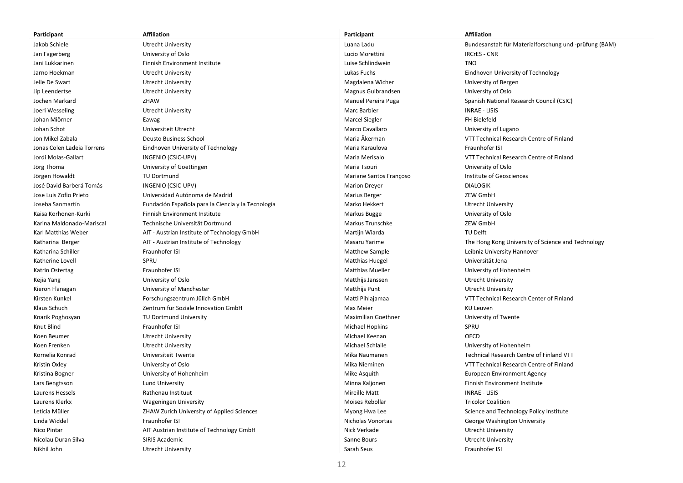| Participant                | <b>Affiliation</b>                                 | Participant                | <b>Affiliation</b>                                     |
|----------------------------|----------------------------------------------------|----------------------------|--------------------------------------------------------|
| Jakob Schiele              | <b>Utrecht University</b>                          | Luana Ladu                 | Bundesanstalt für Materialforschung und -prüfung (BAM) |
| Jan Fagerberg              | University of Oslo                                 | Lucio Morettini            | <b>IRCrES - CNR</b>                                    |
| Jani Lukkarinen            | Finnish Environment Institute                      | Luise Schlindwein          | <b>TNO</b>                                             |
| Jarno Hoekman              | Utrecht University                                 | Lukas Fuchs                | Eindhoven University of Technology                     |
| Jelle De Swart             | <b>Utrecht University</b>                          | Magdalena Wicher           | University of Bergen                                   |
| Jip Leendertse             | <b>Utrecht University</b>                          | Magnus Gulbrandsen         | University of Oslo                                     |
| Jochen Markard             | ZHAW                                               | Manuel Pereira Puga        | Spanish National Research Council (CSIC)               |
| Joeri Wesseling            | <b>Utrecht University</b>                          | Marc Barbier               | <b>INRAE - LISIS</b>                                   |
| Johan Miörner              | Eawag                                              | Marcel Siegler             | FH Bielefeld                                           |
| Johan Schot                | Universiteit Utrecht                               | Marco Cavallaro            | University of Lugano                                   |
| Jon Mikel Zabala           | Deusto Business School                             | Maria Åkerman              | VTT Technical Research Centre of Finland               |
| Jonas Colen Ladeia Torrens | Eindhoven University of Technology                 | Maria Karaulova            | Fraunhofer ISI                                         |
| Jordi Molas-Gallart        | INGENIO (CSIC-UPV)                                 | Maria Merisalo             | VTT Technical Research Centre of Finland               |
| Jörg Thomä                 | University of Goettingen                           | Maria Tsouri               | University of Oslo                                     |
| Jörgen Howaldt             | TU Dortmund                                        | Mariane Santos Françoso    | Institute of Geosciences                               |
| José David Barberá Tomás   | INGENIO (CSIC-UPV)                                 | <b>Marion Dreyer</b>       | <b>DIALOGIK</b>                                        |
| Jose Luis Zofio Prieto     | Universidad Autónoma de Madrid                     | <b>Marius Berger</b>       | ZEW GmbH                                               |
| Joseba Sanmartín           | Fundación Española para la Ciencia y la Tecnología | Marko Hekkert              | Utrecht University                                     |
| Kaisa Korhonen-Kurki       | Finnish Environment Institute                      | Markus Bugge               | University of Oslo                                     |
| Karina Maldonado-Mariscal  | Technische Universität Dortmund                    | Markus Trunschke           | ZEW GmbH                                               |
| Karl Matthias Weber        | AIT - Austrian Institute of Technology GmbH        | Martijn Wiarda             | TU Delft                                               |
| Katharina Berger           | AIT - Austrian Institute of Technology             | Masaru Yarime              | The Hong Kong University of Science and Technology     |
| Katharina Schiller         | Fraunhofer ISI                                     | Matthew Sample             | Leibniz University Hannover                            |
| Katherine Lovell           | SPRU                                               | <b>Matthias Huegel</b>     | Universität Jena                                       |
| Katrin Ostertag            | Fraunhofer ISI                                     | <b>Matthias Mueller</b>    | University of Hohenheim                                |
| Kejia Yang                 | University of Oslo                                 | Matthijs Janssen           | <b>Utrecht University</b>                              |
| Kieron Flanagan            | University of Manchester                           | Matthijs Punt              | Utrecht University                                     |
| Kirsten Kunkel             | Forschungszentrum Jülich GmbH                      | Matti Pihlajamaa           | VTT Technical Research Center of Finland               |
| Klaus Schuch               | Zentrum für Soziale Innovation GmbH                | Max Meier                  | KU Leuven                                              |
| Knarik Poghosyan           | TU Dortmund University                             | <b>Maximilian Goethner</b> | University of Twente                                   |
| Knut Blind                 | Fraunhofer ISI                                     | Michael Hopkins            | SPRU                                                   |
| Koen Beumer                | <b>Utrecht University</b>                          | Michael Keenan             | <b>OECD</b>                                            |
| Koen Frenken               | Utrecht University                                 | Michael Schlaile           | University of Hohenheim                                |
| Kornelia Konrad            | Universiteit Twente                                | Mika Naumanen              | Technical Research Centre of Finland VTT               |
| Kristin Oxley              | University of Oslo                                 | Mika Nieminen              | VTT Technical Research Centre of Finland               |
| Kristina Bogner            | University of Hohenheim                            | Mike Asquith               | <b>European Environment Agency</b>                     |
| Lars Bengtsson             | <b>Lund University</b>                             | Minna Kaljonen             | Finnish Environment Institute                          |
| Laurens Hessels            | Rathenau Instituut                                 | Mireille Matt              | <b>INRAE - LISIS</b>                                   |
| Laurens Klerkx             | <b>Wageningen University</b>                       | Moises Rebollar            | <b>Tricolor Coalition</b>                              |
| Leticia Müller             | ZHAW Zurich University of Applied Sciences         | Myong Hwa Lee              | Science and Technology Policy Institute                |
| Linda Widdel               | Fraunhofer ISI                                     | Nicholas Vonortas          | George Washington University                           |
| Nico Pintar                | AIT Austrian Institute of Technology GmbH          | Nick Verkade               | Utrecht University                                     |
| Nicolau Duran Silva        | SIRIS Academic                                     | Sanne Bours                | <b>Utrecht University</b>                              |
| Nikhil John                | <b>Utrecht University</b>                          | Sarah Seus                 | Fraunhofer ISI                                         |